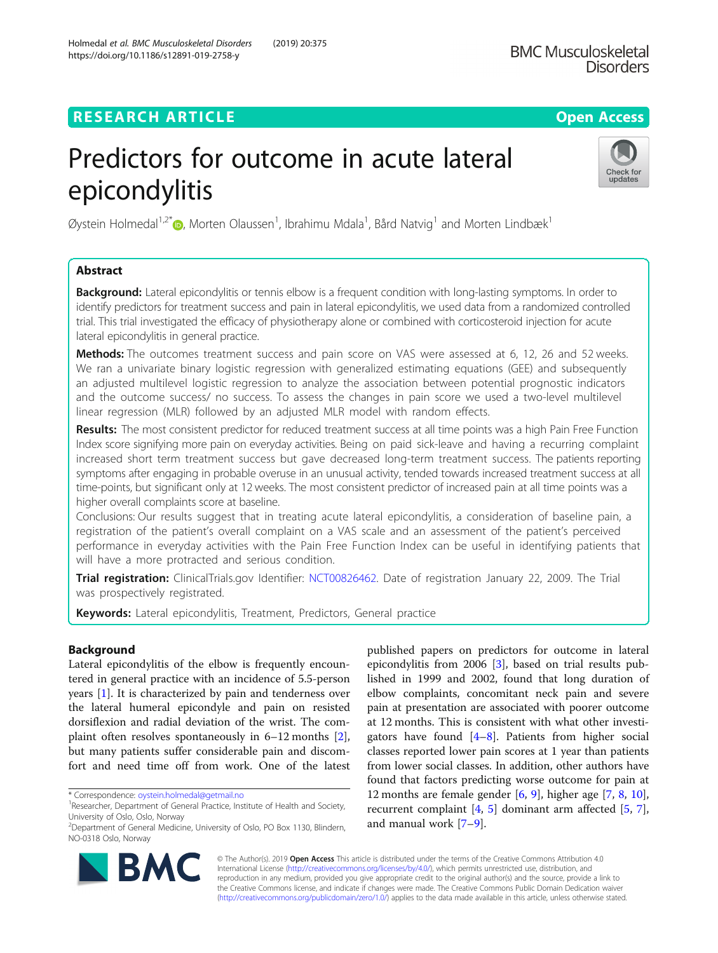# **RESEARCH ARTICLE Example 2018 12:30 THE Open Access**

# Predictors for outcome in acute lateral epicondylitis

Øystein Holmedal<sup>1,2[\\*](http://orcid.org/0000-0003-0963-2728)</sup> $\bm{\circ}$ , Morten Olaussen<sup>1</sup>, Ibrahimu Mdala<sup>1</sup>, Bård Natvig<sup>1</sup> and Morten Lindbæk<sup>1</sup>

# Abstract

**Background:** Lateral epicondylitis or tennis elbow is a frequent condition with long-lasting symptoms. In order to identify predictors for treatment success and pain in lateral epicondylitis, we used data from a randomized controlled trial. This trial investigated the efficacy of physiotherapy alone or combined with corticosteroid injection for acute lateral epicondylitis in general practice.

Methods: The outcomes treatment success and pain score on VAS were assessed at 6, 12, 26 and 52 weeks. We ran a univariate binary logistic regression with generalized estimating equations (GEE) and subsequently an adjusted multilevel logistic regression to analyze the association between potential prognostic indicators and the outcome success/ no success. To assess the changes in pain score we used a two-level multilevel linear regression (MLR) followed by an adjusted MLR model with random effects.

Results: The most consistent predictor for reduced treatment success at all time points was a high Pain Free Function Index score signifying more pain on everyday activities. Being on paid sick-leave and having a recurring complaint increased short term treatment success but gave decreased long-term treatment success. The patients reporting symptoms after engaging in probable overuse in an unusual activity, tended towards increased treatment success at all time-points, but significant only at 12 weeks. The most consistent predictor of increased pain at all time points was a higher overall complaints score at baseline.

Conclusions: Our results suggest that in treating acute lateral epicondylitis, a consideration of baseline pain, a registration of the patient's overall complaint on a VAS scale and an assessment of the patient's perceived performance in everyday activities with the Pain Free Function Index can be useful in identifying patients that will have a more protracted and serious condition.

Trial registration: ClinicalTrials.gov Identifier: [NCT00826462](https://clinicaltrials.gov/ct2/show/NCT00826462). Date of registration January 22, 2009. The Trial was prospectively registrated.

Keywords: Lateral epicondylitis, Treatment, Predictors, General practice

# Background

Lateral epicondylitis of the elbow is frequently encountered in general practice with an incidence of 5.5-person years [[1\]](#page-5-0). It is characterized by pain and tenderness over the lateral humeral epicondyle and pain on resisted dorsiflexion and radial deviation of the wrist. The complaint often resolves spontaneously in 6–12 months [\[2](#page-5-0)], but many patients suffer considerable pain and discomfort and need time off from work. One of the latest

\* Correspondence: [oystein.holmedal@getmail.no](mailto:oystein.holmedal@getmail.no) <sup>1</sup>

© The Author(s). 2019 Open Access This article is distributed under the terms of the Creative Commons Attribution 4.0 International License [\(http://creativecommons.org/licenses/by/4.0/](http://creativecommons.org/licenses/by/4.0/)), which permits unrestricted use, distribution, and reproduction in any medium, provided you give appropriate credit to the original author(s) and the source, provide a link to the Creative Commons license, and indicate if changes were made. The Creative Commons Public Domain Dedication waiver [\(http://creativecommons.org/publicdomain/zero/1.0/](http://creativecommons.org/publicdomain/zero/1.0/)) applies to the data made available in this article, unless otherwise stated.

published papers on predictors for outcome in lateral epicondylitis from 2006 [\[3](#page-5-0)], based on trial results published in 1999 and 2002, found that long duration of elbow complaints, concomitant neck pain and severe pain at presentation are associated with poorer outcome at 12 months. This is consistent with what other investigators have found  $[4-8]$  $[4-8]$  $[4-8]$  $[4-8]$ . Patients from higher social classes reported lower pain scores at 1 year than patients from lower social classes. In addition, other authors have found that factors predicting worse outcome for pain at 12 months are female gender [\[6](#page-5-0), [9\]](#page-6-0), higher age [[7,](#page-5-0) [8](#page-6-0), [10](#page-6-0)], recurrent complaint [\[4](#page-5-0), [5\]](#page-5-0) dominant arm affected [[5,](#page-5-0) [7](#page-5-0)], and manual work [[7](#page-5-0)–[9](#page-6-0)].





<sup>&</sup>lt;sup>1</sup>Researcher, Department of General Practice, Institute of Health and Society, University of Oslo, Oslo, Norway

<sup>2</sup> Department of General Medicine, University of Oslo, PO Box 1130, Blindern, NO-0318 Oslo, Norway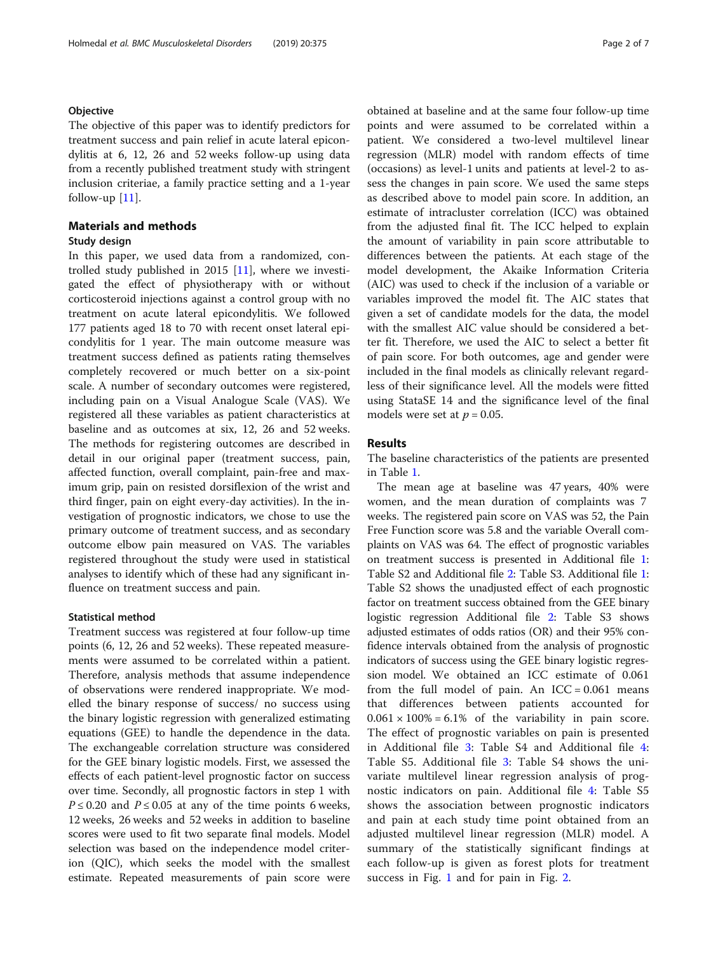### **Objective**

The objective of this paper was to identify predictors for treatment success and pain relief in acute lateral epicondylitis at 6, 12, 26 and 52 weeks follow-up using data from a recently published treatment study with stringent inclusion criteriae, a family practice setting and a 1-year follow-up [[11\]](#page-6-0).

# Materials and methods

# Study design

In this paper, we used data from a randomized, controlled study published in 2015 [[11\]](#page-6-0), where we investigated the effect of physiotherapy with or without corticosteroid injections against a control group with no treatment on acute lateral epicondylitis. We followed 177 patients aged 18 to 70 with recent onset lateral epicondylitis for 1 year. The main outcome measure was treatment success defined as patients rating themselves completely recovered or much better on a six-point scale. A number of secondary outcomes were registered, including pain on a Visual Analogue Scale (VAS). We registered all these variables as patient characteristics at baseline and as outcomes at six, 12, 26 and 52 weeks. The methods for registering outcomes are described in detail in our original paper (treatment success, pain, affected function, overall complaint, pain-free and maximum grip, pain on resisted dorsiflexion of the wrist and third finger, pain on eight every-day activities). In the investigation of prognostic indicators, we chose to use the primary outcome of treatment success, and as secondary outcome elbow pain measured on VAS. The variables registered throughout the study were used in statistical analyses to identify which of these had any significant influence on treatment success and pain.

# Statistical method

Treatment success was registered at four follow-up time points (6, 12, 26 and 52 weeks). These repeated measurements were assumed to be correlated within a patient. Therefore, analysis methods that assume independence of observations were rendered inappropriate. We modelled the binary response of success/ no success using the binary logistic regression with generalized estimating equations (GEE) to handle the dependence in the data. The exchangeable correlation structure was considered for the GEE binary logistic models. First, we assessed the effects of each patient-level prognostic factor on success over time. Secondly, all prognostic factors in step 1 with  $P \le 0.20$  and  $P \le 0.05$  at any of the time points 6 weeks, 12 weeks, 26 weeks and 52 weeks in addition to baseline scores were used to fit two separate final models. Model selection was based on the independence model criterion (QIC), which seeks the model with the smallest estimate. Repeated measurements of pain score were obtained at baseline and at the same four follow-up time points and were assumed to be correlated within a patient. We considered a two-level multilevel linear regression (MLR) model with random effects of time (occasions) as level-1 units and patients at level-2 to assess the changes in pain score. We used the same steps as described above to model pain score. In addition, an estimate of intracluster correlation (ICC) was obtained from the adjusted final fit. The ICC helped to explain the amount of variability in pain score attributable to differences between the patients. At each stage of the model development, the Akaike Information Criteria (AIC) was used to check if the inclusion of a variable or variables improved the model fit. The AIC states that given a set of candidate models for the data, the model with the smallest AIC value should be considered a better fit. Therefore, we used the AIC to select a better fit of pain score. For both outcomes, age and gender were included in the final models as clinically relevant regardless of their significance level. All the models were fitted using StataSE 14 and the significance level of the final models were set at  $p = 0.05$ .

## Results

The baseline characteristics of the patients are presented in Table [1.](#page-2-0)

The mean age at baseline was 47 years, 40% were women, and the mean duration of complaints was 7 weeks. The registered pain score on VAS was 52, the Pain Free Function score was 5.8 and the variable Overall complaints on VAS was 64. The effect of prognostic variables on treatment success is presented in Additional file [1](#page-5-0): Table S2 and Additional file [2:](#page-5-0) Table S3. Additional file [1](#page-5-0): Table S2 shows the unadjusted effect of each prognostic factor on treatment success obtained from the GEE binary logistic regression Additional file [2](#page-5-0): Table S3 shows adjusted estimates of odds ratios (OR) and their 95% confidence intervals obtained from the analysis of prognostic indicators of success using the GEE binary logistic regression model. We obtained an ICC estimate of 0.061 from the full model of pain. An  $ICC = 0.061$  means that differences between patients accounted for  $0.061 \times 100\% = 6.1\%$  of the variability in pain score. The effect of prognostic variables on pain is presented in Additional file [3:](#page-5-0) Table S4 and Additional file [4](#page-5-0): Table S5. Additional file [3](#page-5-0): Table S4 shows the univariate multilevel linear regression analysis of prognostic indicators on pain. Additional file [4](#page-5-0): Table S5 shows the association between prognostic indicators and pain at each study time point obtained from an adjusted multilevel linear regression (MLR) model. A summary of the statistically significant findings at each follow-up is given as forest plots for treatment success in Fig. [1](#page-3-0) and for pain in Fig. [2.](#page-3-0)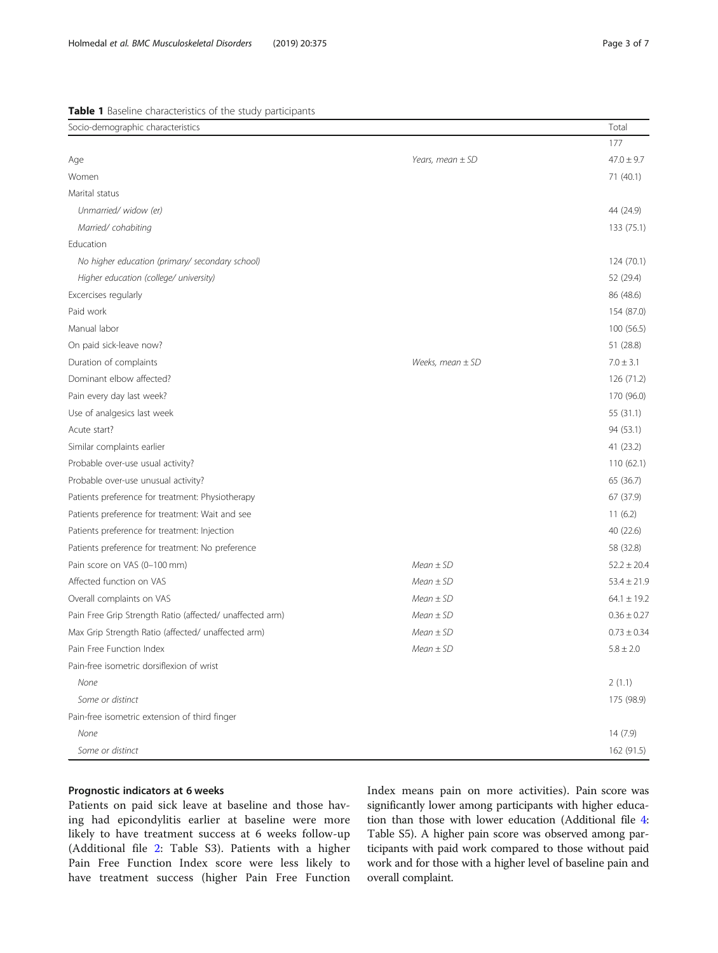<span id="page-2-0"></span>Table 1 Baseline characteristics of the study participants

| Socio-demographic characteristics                        |                      | Total           |
|----------------------------------------------------------|----------------------|-----------------|
|                                                          |                      | 177             |
| Age                                                      | Years, mean $\pm$ SD | $47.0 \pm 9.7$  |
| Women                                                    |                      | 71 (40.1)       |
| Marital status                                           |                      |                 |
| Unmarried/ widow (er)                                    |                      | 44 (24.9)       |
| Married/cohabiting                                       |                      | 133 (75.1)      |
| Education                                                |                      |                 |
| No higher education (primary/ secondary school)          |                      | 124 (70.1)      |
| Higher education (college/ university)                   |                      | 52 (29.4)       |
| Excercises regularly                                     |                      | 86 (48.6)       |
| Paid work                                                |                      | 154 (87.0)      |
| Manual labor                                             |                      | 100 (56.5)      |
| On paid sick-leave now?                                  |                      | 51 (28.8)       |
| Duration of complaints                                   | Weeks, mean $\pm$ SD | $7.0 \pm 3.1$   |
| Dominant elbow affected?                                 |                      | 126 (71.2)      |
| Pain every day last week?                                |                      | 170 (96.0)      |
| Use of analgesics last week                              |                      | 55(31.1)        |
| Acute start?                                             |                      | 94 (53.1)       |
| Similar complaints earlier                               |                      | 41 (23.2)       |
| Probable over-use usual activity?                        |                      | 110(62.1)       |
| Probable over-use unusual activity?                      |                      | 65 (36.7)       |
| Patients preference for treatment: Physiotherapy         |                      | 67 (37.9)       |
| Patients preference for treatment: Wait and see          |                      | 11(6.2)         |
| Patients preference for treatment: Injection             |                      | 40 (22.6)       |
| Patients preference for treatment: No preference         |                      | 58 (32.8)       |
| Pain score on VAS (0-100 mm)                             | $Mean \pm SD$        | $52.2 \pm 20.4$ |
| Affected function on VAS                                 | $Mean \pm SD$        | $53.4 \pm 21.9$ |
| Overall complaints on VAS                                | $Mean \pm SD$        | $64.1 \pm 19.2$ |
| Pain Free Grip Strength Ratio (affected/ unaffected arm) | $Mean \pm SD$        | $0.36 \pm 0.27$ |
| Max Grip Strength Ratio (affected/ unaffected arm)       | $Mean \pm SD$        | $0.73 \pm 0.34$ |
| Pain Free Function Index                                 | $Mean \pm SD$        | $5.8 \pm 2.0$   |
| Pain-free isometric dorsiflexion of wrist                |                      |                 |
| None                                                     |                      | 2(1.1)          |
| Some or distinct                                         |                      | 175 (98.9)      |
| Pain-free isometric extension of third finger            |                      |                 |
| None                                                     |                      | 14(7.9)         |
| Some or distinct                                         |                      | 162 (91.5)      |

# Prognostic indicators at 6 weeks

Patients on paid sick leave at baseline and those having had epicondylitis earlier at baseline were more likely to have treatment success at 6 weeks follow-up (Additional file [2](#page-5-0): Table S3). Patients with a higher Pain Free Function Index score were less likely to have treatment success (higher Pain Free Function

Index means pain on more activities). Pain score was significantly lower among participants with higher education than those with lower education (Additional file [4](#page-5-0): Table S5). A higher pain score was observed among participants with paid work compared to those without paid work and for those with a higher level of baseline pain and overall complaint.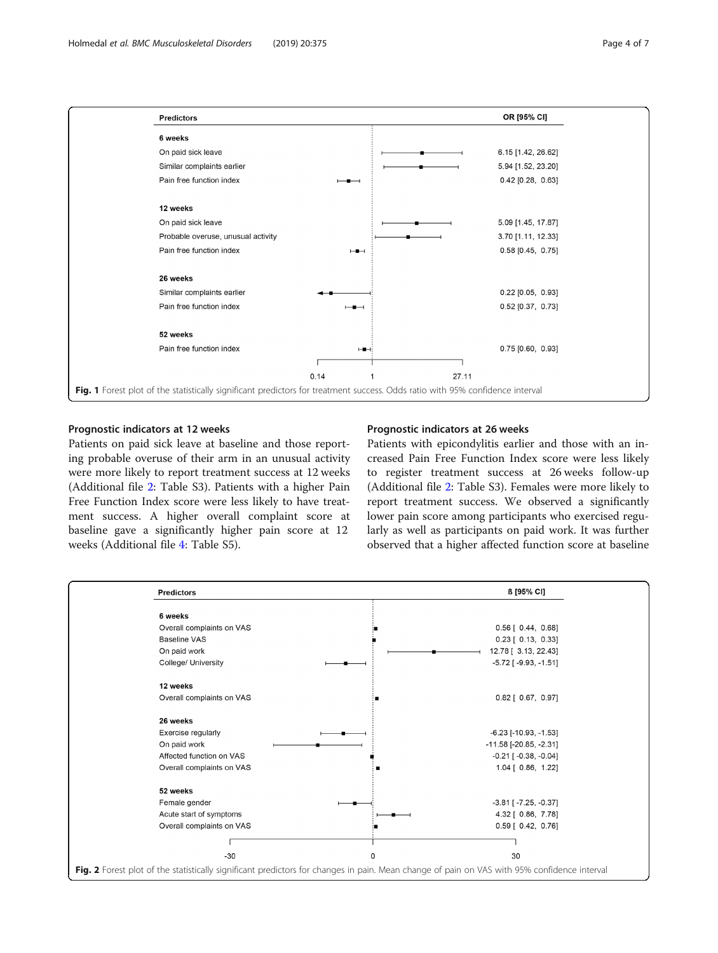<span id="page-3-0"></span>

# Prognostic indicators at 12 weeks

Patients on paid sick leave at baseline and those reporting probable overuse of their arm in an unusual activity were more likely to report treatment success at 12 weeks (Additional file [2](#page-5-0): Table S3). Patients with a higher Pain Free Function Index score were less likely to have treatment success. A higher overall complaint score at baseline gave a significantly higher pain score at 12 weeks (Additional file [4](#page-5-0): Table S5).

# Prognostic indicators at 26 weeks

Patients with epicondylitis earlier and those with an increased Pain Free Function Index score were less likely to register treatment success at 26 weeks follow-up (Additional file [2](#page-5-0): Table S3). Females were more likely to report treatment success. We observed a significantly lower pain score among participants who exercised regularly as well as participants on paid work. It was further observed that a higher affected function score at baseline

| <b>Predictors</b>         |   | ß [95% CI]                     |
|---------------------------|---|--------------------------------|
| 6 weeks                   |   |                                |
| Overall complaints on VAS |   | $0.56$ [ $0.44$ , $0.68$ ]     |
| <b>Baseline VAS</b>       |   | $0.23$ [ $0.13$ , $0.33$ ]     |
| On paid work              |   | 12.78 [ 3.13, 22.43]           |
| College/ University       |   | $-5.72$ [ $-9.93$ , $-1.51$ ]  |
| 12 weeks                  |   |                                |
| Overall complaints on VAS |   | $0.82$ [ $0.67, 0.97$ ]        |
| 26 weeks                  |   |                                |
| Exercise regularly        |   | $-6.23$ [ $-10.93$ , $-1.53$ ] |
| On paid work              |   | -11.58 [-20.85, -2.31]         |
| Affected function on VAS  |   | $-0.21$ [ $-0.38$ , $-0.04$ ]  |
| Overall complaints on VAS |   | $1.04$ [ 0.86, 1.22]           |
| 52 weeks                  |   |                                |
| Female gender             |   | $-3.81$ [ $-7.25$ , $-0.37$ ]  |
| Acute start of symptoms   |   | 4.32 [ 0.86, 7.78]             |
| Overall complaints on VAS |   | $0.59$ $[ 0.42, 0.76 ]$        |
|                           |   |                                |
| $-30$                     | 0 | 30                             |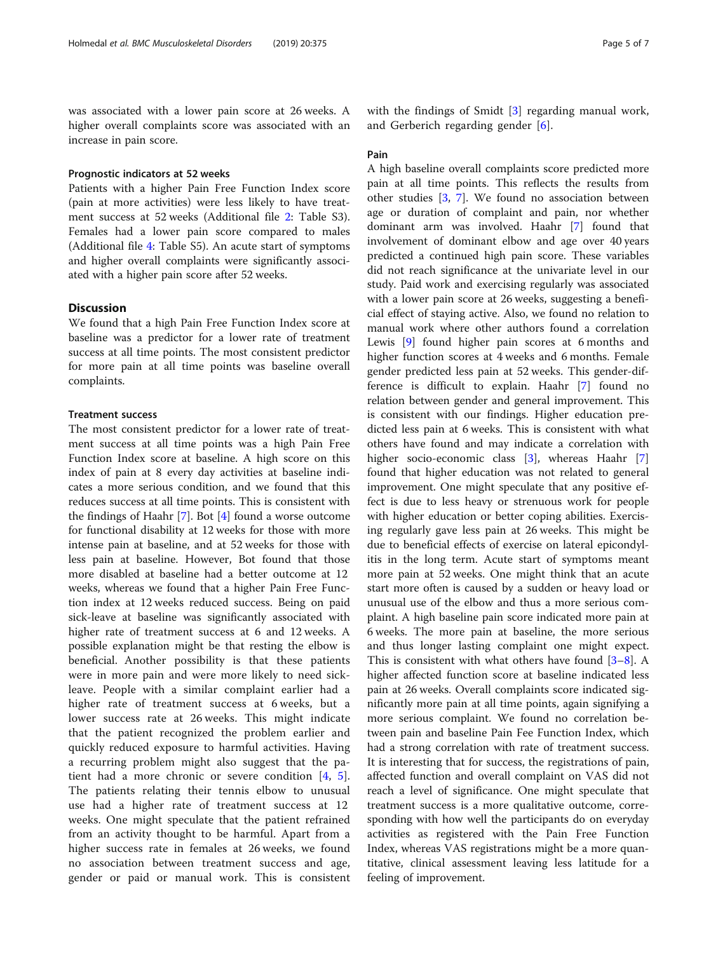was associated with a lower pain score at 26 weeks. A higher overall complaints score was associated with an increase in pain score.

#### Prognostic indicators at 52 weeks

Patients with a higher Pain Free Function Index score (pain at more activities) were less likely to have treatment success at 52 weeks (Additional file [2](#page-5-0): Table S3). Females had a lower pain score compared to males (Additional file [4](#page-5-0): Table S5). An acute start of symptoms and higher overall complaints were significantly associated with a higher pain score after 52 weeks.

## **Discussion**

We found that a high Pain Free Function Index score at baseline was a predictor for a lower rate of treatment success at all time points. The most consistent predictor for more pain at all time points was baseline overall complaints.

# Treatment success

The most consistent predictor for a lower rate of treatment success at all time points was a high Pain Free Function Index score at baseline. A high score on this index of pain at 8 every day activities at baseline indicates a more serious condition, and we found that this reduces success at all time points. This is consistent with the findings of Haahr [[7\]](#page-5-0). Bot [\[4](#page-5-0)] found a worse outcome for functional disability at 12 weeks for those with more intense pain at baseline, and at 52 weeks for those with less pain at baseline. However, Bot found that those more disabled at baseline had a better outcome at 12 weeks, whereas we found that a higher Pain Free Function index at 12 weeks reduced success. Being on paid sick-leave at baseline was significantly associated with higher rate of treatment success at 6 and 12 weeks. A possible explanation might be that resting the elbow is beneficial. Another possibility is that these patients were in more pain and were more likely to need sickleave. People with a similar complaint earlier had a higher rate of treatment success at 6 weeks, but a lower success rate at 26 weeks. This might indicate that the patient recognized the problem earlier and quickly reduced exposure to harmful activities. Having a recurring problem might also suggest that the patient had a more chronic or severe condition  $[4, 5]$  $[4, 5]$  $[4, 5]$  $[4, 5]$  $[4, 5]$ . The patients relating their tennis elbow to unusual use had a higher rate of treatment success at 12 weeks. One might speculate that the patient refrained from an activity thought to be harmful. Apart from a higher success rate in females at 26 weeks, we found no association between treatment success and age, gender or paid or manual work. This is consistent with the findings of Smidt [[3](#page-5-0)] regarding manual work, and Gerberich regarding gender [\[6](#page-5-0)].

#### Pain

A high baseline overall complaints score predicted more pain at all time points. This reflects the results from other studies [[3,](#page-5-0) [7](#page-5-0)]. We found no association between age or duration of complaint and pain, nor whether dominant arm was involved. Haahr [\[7](#page-5-0)] found that involvement of dominant elbow and age over 40 years predicted a continued high pain score. These variables did not reach significance at the univariate level in our study. Paid work and exercising regularly was associated with a lower pain score at 26 weeks, suggesting a beneficial effect of staying active. Also, we found no relation to manual work where other authors found a correlation Lewis [[9\]](#page-6-0) found higher pain scores at 6 months and higher function scores at 4 weeks and 6 months. Female gender predicted less pain at 52 weeks. This gender-difference is difficult to explain. Haahr [\[7](#page-5-0)] found no relation between gender and general improvement. This is consistent with our findings. Higher education predicted less pain at 6 weeks. This is consistent with what others have found and may indicate a correlation with higher socio-economic class [[3\]](#page-5-0), whereas Haahr [\[7](#page-5-0)] found that higher education was not related to general improvement. One might speculate that any positive effect is due to less heavy or strenuous work for people with higher education or better coping abilities. Exercising regularly gave less pain at 26 weeks. This might be due to beneficial effects of exercise on lateral epicondylitis in the long term. Acute start of symptoms meant more pain at 52 weeks. One might think that an acute start more often is caused by a sudden or heavy load or unusual use of the elbow and thus a more serious complaint. A high baseline pain score indicated more pain at 6 weeks. The more pain at baseline, the more serious and thus longer lasting complaint one might expect. This is consistent with what others have found [\[3](#page-5-0)–[8\]](#page-6-0). A higher affected function score at baseline indicated less pain at 26 weeks. Overall complaints score indicated significantly more pain at all time points, again signifying a more serious complaint. We found no correlation between pain and baseline Pain Fee Function Index, which had a strong correlation with rate of treatment success. It is interesting that for success, the registrations of pain, affected function and overall complaint on VAS did not reach a level of significance. One might speculate that treatment success is a more qualitative outcome, corresponding with how well the participants do on everyday activities as registered with the Pain Free Function Index, whereas VAS registrations might be a more quantitative, clinical assessment leaving less latitude for a feeling of improvement.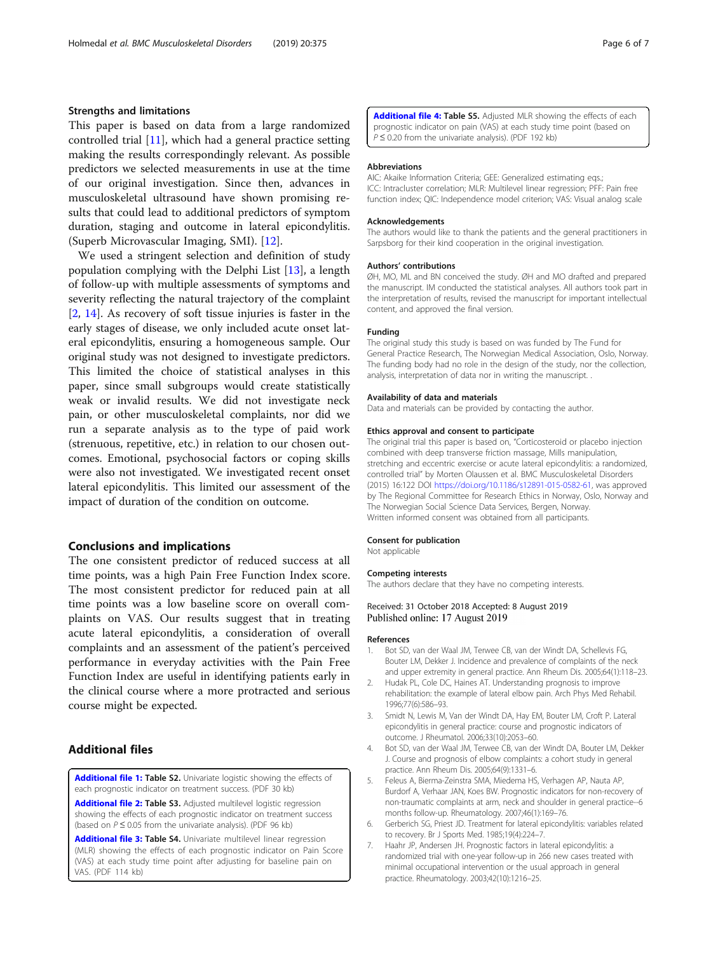## <span id="page-5-0"></span>Strengths and limitations

This paper is based on data from a large randomized controlled trial [\[11\]](#page-6-0), which had a general practice setting making the results correspondingly relevant. As possible predictors we selected measurements in use at the time of our original investigation. Since then, advances in musculoskeletal ultrasound have shown promising results that could lead to additional predictors of symptom duration, staging and outcome in lateral epicondylitis. (Superb Microvascular Imaging, SMI). [[12](#page-6-0)].

We used a stringent selection and definition of study population complying with the Delphi List [[13\]](#page-6-0), a length of follow-up with multiple assessments of symptoms and severity reflecting the natural trajectory of the complaint [2, [14](#page-6-0)]. As recovery of soft tissue injuries is faster in the early stages of disease, we only included acute onset lateral epicondylitis, ensuring a homogeneous sample. Our original study was not designed to investigate predictors. This limited the choice of statistical analyses in this paper, since small subgroups would create statistically weak or invalid results. We did not investigate neck pain, or other musculoskeletal complaints, nor did we run a separate analysis as to the type of paid work (strenuous, repetitive, etc.) in relation to our chosen outcomes. Emotional, psychosocial factors or coping skills were also not investigated. We investigated recent onset lateral epicondylitis. This limited our assessment of the impact of duration of the condition on outcome.

# Conclusions and implications

The one consistent predictor of reduced success at all time points, was a high Pain Free Function Index score. The most consistent predictor for reduced pain at all time points was a low baseline score on overall complaints on VAS. Our results suggest that in treating acute lateral epicondylitis, a consideration of overall complaints and an assessment of the patient's perceived performance in everyday activities with the Pain Free Function Index are useful in identifying patients early in the clinical course where a more protracted and serious course might be expected.

# Additional files

[Additional file 1:](https://doi.org/10.1186/s12891-019-2758-y) Table S2. Univariate logistic showing the effects of each prognostic indicator on treatment success. (PDF 30 kb)

[Additional file 2:](https://doi.org/10.1186/s12891-019-2758-y) Table S3. Adjusted multilevel logistic regression showing the effects of each prognostic indicator on treatment success (based on  $P \le 0.05$  from the univariate analysis). (PDF 96 kb)

[Additional file 3:](https://doi.org/10.1186/s12891-019-2758-y) Table S4. Univariate multilevel linear regression (MLR) showing the effects of each prognostic indicator on Pain Score (VAS) at each study time point after adjusting for baseline pain on VAS. (PDF 114 kb)

[Additional file 4:](https://doi.org/10.1186/s12891-019-2758-y) Table S5. Adjusted MLR showing the effects of each prognostic indicator on pain (VAS) at each study time point (based on  $P \le 0.20$  from the univariate analysis). (PDF 192 kb)

#### Abbreviations

AIC: Akaike Information Criteria; GEE: Generalized estimating eqs.; ICC: Intracluster correlation; MLR: Multilevel linear regression; PFF: Pain free function index; QIC: Independence model criterion; VAS: Visual analog scale

#### Acknowledgements

The authors would like to thank the patients and the general practitioners in Sarpsborg for their kind cooperation in the original investigation.

#### Authors' contributions

ØH, MO, ML and BN conceived the study. ØH and MO drafted and prepared the manuscript. IM conducted the statistical analyses. All authors took part in the interpretation of results, revised the manuscript for important intellectual content, and approved the final version.

#### Funding

The original study this study is based on was funded by The Fund for General Practice Research, The Norwegian Medical Association, Oslo, Norway. The funding body had no role in the design of the study, nor the collection, analysis, interpretation of data nor in writing the manuscript. .

#### Availability of data and materials

Data and materials can be provided by contacting the author.

#### Ethics approval and consent to participate

The original trial this paper is based on, "Corticosteroid or placebo injection combined with deep transverse friction massage, Mills manipulation, stretching and eccentric exercise or acute lateral epicondylitis: a randomized, controlled trial" by Morten Olaussen et al. BMC Musculoskeletal Disorders (2015) 16:122 DOI [https://doi.org/10.1186/s12891-015-0582-61,](https://doi.org/10.1186/s12891-015-0582-61) was approved by The Regional Committee for Research Ethics in Norway, Oslo, Norway and The Norwegian Social Science Data Services, Bergen, Norway. Written informed consent was obtained from all participants.

#### Consent for publication

Not applicable

#### Competing interests

The authors declare that they have no competing interests.

#### Received: 31 October 2018 Accepted: 8 August 2019 Published online: 17 August 2019

#### References

- 1. Bot SD, van der Waal JM, Terwee CB, van der Windt DA, Schellevis FG, Bouter LM, Dekker J. Incidence and prevalence of complaints of the neck and upper extremity in general practice. Ann Rheum Dis. 2005;64(1):118–23.
- 2. Hudak PL, Cole DC, Haines AT. Understanding prognosis to improve rehabilitation: the example of lateral elbow pain. Arch Phys Med Rehabil. 1996;77(6):586–93.
- 3. Smidt N, Lewis M, Van der Windt DA, Hay EM, Bouter LM, Croft P. Lateral epicondylitis in general practice: course and prognostic indicators of outcome. J Rheumatol. 2006;33(10):2053–60.
- 4. Bot SD, van der Waal JM, Terwee CB, van der Windt DA, Bouter LM, Dekker J. Course and prognosis of elbow complaints: a cohort study in general practice. Ann Rheum Dis. 2005;64(9):1331–6.
- 5. Feleus A, Bierma-Zeinstra SMA, Miedema HS, Verhagen AP, Nauta AP, Burdorf A, Verhaar JAN, Koes BW. Prognostic indicators for non-recovery of non-traumatic complaints at arm, neck and shoulder in general practice--6 months follow-up. Rheumatology. 2007;46(1):169–76.
- 6. Gerberich SG, Priest JD. Treatment for lateral epicondylitis: variables related to recovery. Br J Sports Med. 1985;19(4):224–7.
- 7. Haahr JP, Andersen JH. Prognostic factors in lateral epicondylitis: a randomized trial with one-year follow-up in 266 new cases treated with minimal occupational intervention or the usual approach in general practice. Rheumatology. 2003;42(10):1216–25.